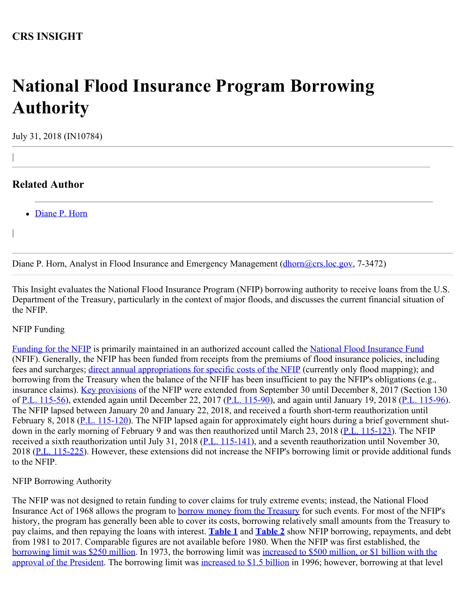## **National Flood Insurance Program Borrowing Authority**

July 31, 2018 (IN10784)

## **Related Author**

|

|

• [Diane P. Horn](http://www.crs.gov/Author/index?id=105200)

Diane P. Horn, Analyst in Flood Insurance and Emergency Management (*dhorn@crs.loc.gov*, 7-3472)

This Insight evaluates the National Flood Insurance Program (NFIP) borrowing authority to receive loans from the U.S. Department of the Treasury, particularly in the context of major floods, and discusses the current financial situation of the NFIP.

## NFIP Funding

[F](http://www.crs.gov/Reports/R44593)[unding for the NFIP](https://fas.org/sgp/crs/homesec/R44593.pdf) is primarily maintained in an authorized account called the [National Flood Insurance Fund](https://www.gpo.gov/fdsys/granule/USCODE-2010-title42/USCODE-2010-title42-chap50-subchapI-sec4017) (NFIF). Generally, the NFIP has been funded from receipts from the premiums of flood insurance policies, including fees and surcharges; [direct annual appropriations for specific costs of the NFIP](http://www.crs.gov/Reports/R44660) (currently only flood mapping); and borrowing from the Treasury when the balance of the NFIF has been insufficient to pay the NFIP's obligations (e.g., insurance claims). [Key provisions](http://www.crs.gov/Reports/R44593) of the NFIP were extended from September 30 until December 8, 2017 (Section 130 of [P.L. 115-56\)](http://www.congress.gov/cgi-lis/bdquery/R?d115:FLD002:@1(115+56)), extended again until December 22, 2017 [\(P.L. 115-90](http://www.congress.gov/cgi-lis/bdquery/R?d115:FLD002:@1(115+90))), and again until January 19, 2018 [\(P.L. 115-96](http://www.congress.gov/cgi-lis/bdquery/R?d115:FLD002:@1(115+96))). The NFIP lapsed between January 20 and January 22, 2018, and received a fourth short-term reauthorization until February 8, 2018 [\(P.L. 115-120](http://www.congress.gov/cgi-lis/bdquery/R?d115:FLD002:@1(115+120))). The NFIP lapsed again for approximately eight hours during a brief government shut-down in the early morning of February 9 and was then reauthorized until March 23, 2018 [\(P.L. 115-123](http://www.congress.gov/cgi-lis/bdquery/R?d115:FLD002:@1(115+123))). The NFIP received a sixth reauthorization until July 31, 2018 ([P.L. 115-141\)](http://www.congress.gov/cgi-lis/bdquery/R?d115:FLD002:@1(115+141)), and a seventh reauthorization until November 30, 2018 ([P.L. 115-225\)](http://www.congress.gov/cgi-lis/bdquery/R?d115:FLD002:@1(115+225)). However, these extensions did not increase the NFIP's borrowing limit or provide additional funds to the NFIP.

## NFIP Borrowing Authority

The NFIP was not designed to retain funding to cover claims for truly extreme events; instead, the National Flood Insurance Act of 1968 allows the program to [borrow money from the Treasury](http://uscode.house.gov/view.xhtml?req=(title:42%20section:4016%20edition:prelim)%20OR%20(granuleid:USC-prelim-title42-section4016)&f=treesort&edition=prelim&num=0&jumpTo=true) for such events. For most of the NFIP's history, the program has generally been able to cover its costs, borrowing relatively small amounts from the Treasury to pay claims, and then repaying the loans with interest. **[Table 1](http://www.crs.gov/Reports/IN10784?source=INLanding#_Ref493525151)** and **[Table 2](http://www.crs.gov/Reports/IN10784?source=INLanding#_Ref493525457)** show NFIP borrowing, repayments, and debt from 1981 to 2017. Comparable figures are not available before 1980. When the NFIP was first established, the [borrowing limit was \\$250 million.](http://uscode.house.gov/statutes/pl/90/448.pdf) In 1973, the borrowing limit was [increased to \\$500 million, or \\$1 billion with the](http://uscode.house.gov/statutes/pl/93/234.pdf) [approval of the President](http://uscode.house.gov/statutes/pl/93/234.pdf). The borrowing limit was [increased to \\$1.5 billion](http://uscode.house.gov/statutes/pl/93/234.pdf) in 1996; however, borrowing at that level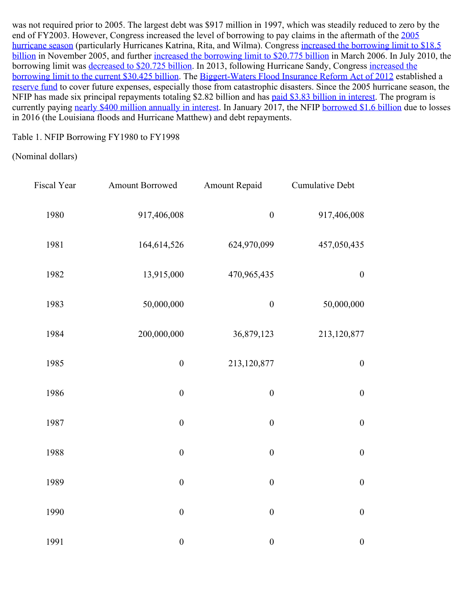was not required prior to 2005. The largest debt was \$917 million in 1997, which was steadily reduced to zero by the end of FY2003. However, Congress increased the level of borrowing to pay claims in the aftermath of the [2005](https://www.ncdc.noaa.gov/sotc/tropical-cyclones/200513) [hurricane season](https://www.ncdc.noaa.gov/sotc/tropical-cyclones/200513) (particularly Hurricanes Katrina, Rita, and Wilma). Congress [increased the borrowing limit to \\$18.5](https://www.congress.gov/109/plaws/publ106/PLAW-109publ106.pdf) [billion](https://www.congress.gov/109/plaws/publ106/PLAW-109publ106.pdf) in November 2005, and further [increased the borrowing limit to \\$20.775 billion](https://www.congress.gov/109/plaws/publ208/PLAW-109publ208.pdf) in March 2006. In July 2010, the borrowing limit was [decreased to \\$20.725 billion](https://www.congress.gov/111/plaws/publ196/PLAW-111publ196.pdf). In 2013, following Hurricane Sandy, Congress [increased the](https://www.congress.gov/113/plaws/publ1/PLAW-113publ1.pdf) [borrowing limit to the current \\$30.425 billion](https://www.congress.gov/113/plaws/publ1/PLAW-113publ1.pdf). The [Biggert-Waters Flood Insurance Reform Act of 2012](https://www.congress.gov/112/plaws/publ141/PLAW-112publ141.pdf) established a [reserve fund](https://www.gpo.gov/fdsys/pkg/USCODE-2016-title42/pdf/USCODE-2016-title42-chap50-subchapI-sec4017a.pdf) to cover future expenses, especially those from catastrophic disasters. Since the 2005 hurricane season, the NFIP has made six principal repayments totaling \$2.82 billion and has [paid \\$3.83 billion in interest](https://www.fema.gov/media-library-data/1522167351921-a5e457454262dd100e2f15a7210d21c5/Watermark_FY18_Q1_v6_508.pdf). The program is currently paying [nearly \\$400 million annually in interest](https://www.dhs.gov/news/2017/03/09/written-testimony-fema-house-committee-financial-services-subcommittee-housing-and). In January 2017, the NFIP [borrowed \\$1.6 billion](https://www.dhs.gov/news/2017/03/09/written-testimony-fema-house-committee-financial-services-subcommittee-housing-and) due to losses in 2016 (the Louisiana floods and Hurricane Matthew) and debt repayments.

Table 1. NFIP Borrowing FY1980 to FY1998

(Nominal dollars)

| <b>Cumulative Debt</b> | Amount Repaid    | Amount Borrowed  | Fiscal Year |
|------------------------|------------------|------------------|-------------|
| 917,406,008            | $\boldsymbol{0}$ | 917,406,008      | 1980        |
| 457,050,435            | 624,970,099      | 164,614,526      | 1981        |
| $\boldsymbol{0}$       | 470,965,435      | 13,915,000       | 1982        |
| 50,000,000             | $\boldsymbol{0}$ | 50,000,000       | 1983        |
| 213,120,877            | 36,879,123       | 200,000,000      | 1984        |
| $\boldsymbol{0}$       | 213,120,877      | $\boldsymbol{0}$ | 1985        |
| $\boldsymbol{0}$       | $\boldsymbol{0}$ | $\boldsymbol{0}$ | 1986        |
| $\boldsymbol{0}$       | $\boldsymbol{0}$ | $\boldsymbol{0}$ | 1987        |
| $\boldsymbol{0}$       | $\boldsymbol{0}$ | $\boldsymbol{0}$ | 1988        |
| $\boldsymbol{0}$       | $\boldsymbol{0}$ | $\boldsymbol{0}$ | 1989        |
| $\boldsymbol{0}$       | $\boldsymbol{0}$ | $\boldsymbol{0}$ | 1990        |
| $\boldsymbol{0}$       | $\boldsymbol{0}$ | $\boldsymbol{0}$ | 1991        |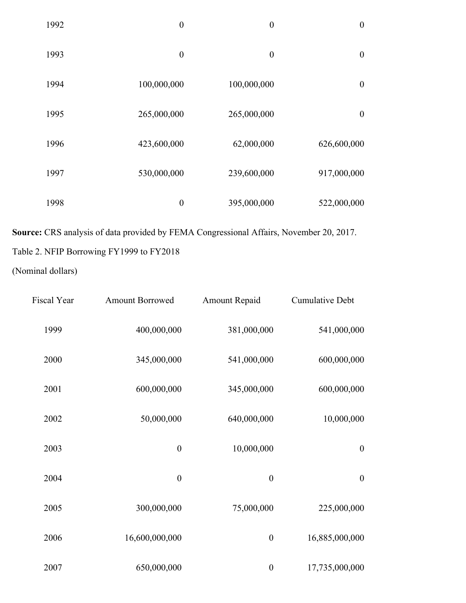| $\boldsymbol{0}$ | $\boldsymbol{0}$ | $\boldsymbol{0}$ | 1992 |
|------------------|------------------|------------------|------|
| $\boldsymbol{0}$ | $\boldsymbol{0}$ | $\boldsymbol{0}$ | 1993 |
| $\boldsymbol{0}$ | 100,000,000      | 100,000,000      | 1994 |
| $\boldsymbol{0}$ | 265,000,000      | 265,000,000      | 1995 |
| 626,600,000      | 62,000,000       | 423,600,000      | 1996 |
| 917,000,000      | 239,600,000      | 530,000,000      | 1997 |
| 522,000,000      | 395,000,000      | $\boldsymbol{0}$ | 1998 |

**Source:** CRS analysis of data provided by FEMA Congressional Affairs, November 20, 2017. Table 2. NFIP Borrowing FY1999 to FY2018

(Nominal dollars)

| <b>Cumulative Debt</b> | Amount Repaid    | <b>Amount Borrowed</b> | Fiscal Year |
|------------------------|------------------|------------------------|-------------|
| 541,000,000            | 381,000,000      | 400,000,000            | 1999        |
| 600,000,000            | 541,000,000      | 345,000,000            | 2000        |
| 600,000,000            | 345,000,000      | 600,000,000            | 2001        |
| 10,000,000             | 640,000,000      | 50,000,000             | 2002        |
| $\boldsymbol{0}$       | 10,000,000       | $\boldsymbol{0}$       | 2003        |
| $\boldsymbol{0}$       | $\boldsymbol{0}$ | $\boldsymbol{0}$       | 2004        |
| 225,000,000            | 75,000,000       | 300,000,000            | 2005        |
| 16,885,000,000         | $\boldsymbol{0}$ | 16,600,000,000         | 2006        |
| 17,735,000,000         | $\boldsymbol{0}$ | 650,000,000            | 2007        |